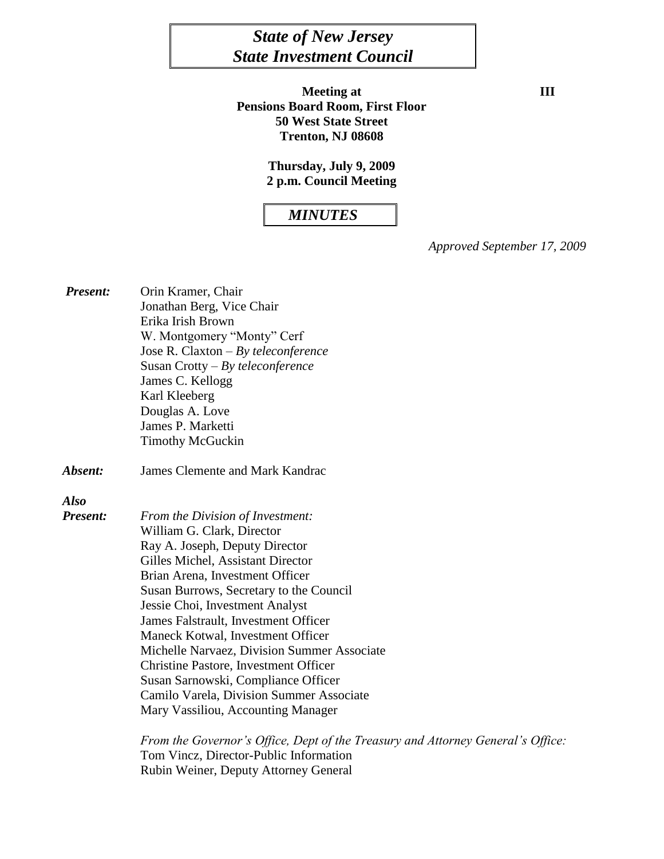# *State of New Jersey State Investment Council*

**Meeting at III Pensions Board Room, First Floor 50 West State Street Trenton, NJ 08608**

**Thursday, July 9, 2009 2 p.m. Council Meeting**

# *MINUTES*

*Approved September 17, 2009*

| <b>Present:</b> | Orin Kramer, Chair                                   |
|-----------------|------------------------------------------------------|
|                 | Jonathan Berg, Vice Chair                            |
|                 | Erika Irish Brown                                    |
|                 | W. Montgomery "Monty" Cerf                           |
|                 | Jose R. Claxton $-By$ teleconference                 |
|                 | Susan Crotty $-By$ teleconference                    |
|                 | James C. Kellogg                                     |
|                 | Karl Kleeberg                                        |
|                 | Douglas A. Love                                      |
|                 | James P. Marketti                                    |
|                 | <b>Timothy McGuckin</b>                              |
| Absent:         | <b>James Clemente and Mark Kandrac</b>               |
| Also            |                                                      |
| Present:        | From the Division of Investment:                     |
|                 | William G. Clark, Director                           |
|                 | Ray A. Joseph, Deputy Director                       |
|                 | Gilles Michel, Assistant Director                    |
|                 | Brian Arena, Investment Officer                      |
|                 | Susan Burrows, Secretary to the Council              |
|                 | Jessie Choi, Investment Analyst                      |
|                 | James Falstrault, Investment Officer                 |
|                 | Maneck Kotwal, Investment Officer                    |
|                 | Michelle Narvaez, Division Summer Associate          |
|                 | <b>Christine Pastore, Investment Officer</b>         |
|                 | Susan Sarnowski, Compliance Officer                  |
|                 | Camilo Varela, Division Summer Associate             |
|                 | Mary Vassiliou, Accounting Manager                   |
|                 | From the Governor's Office, Dept of the Treasury and |

*From the General's Office:* Tom Vincz, Director-Public Information Rubin Weiner, Deputy Attorney General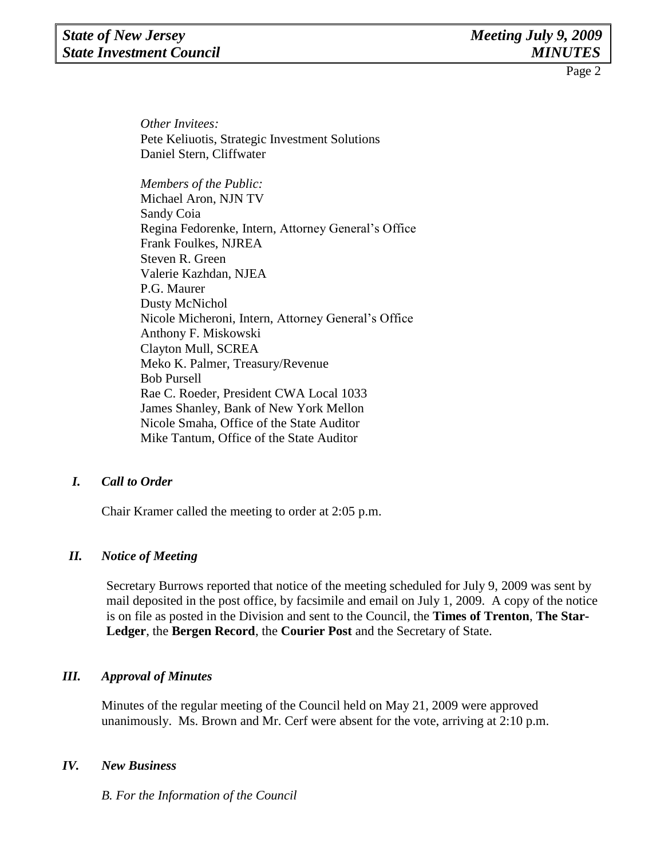*Other Invitees:* Pete Keliuotis, Strategic Investment Solutions Daniel Stern, Cliffwater

*Members of the Public:*  Michael Aron, NJN TV Sandy Coia Regina Fedorenke, Intern, Attorney General's Office Frank Foulkes, NJREA Steven R. Green Valerie Kazhdan, NJEA P.G. Maurer Dusty McNichol Nicole Micheroni, Intern, Attorney General's Office Anthony F. Miskowski Clayton Mull, SCREA Meko K. Palmer, Treasury/Revenue Bob Pursell Rae C. Roeder, President CWA Local 1033 James Shanley, Bank of New York Mellon Nicole Smaha, Office of the State Auditor Mike Tantum, Office of the State Auditor

## *I. Call to Order*

Chair Kramer called the meeting to order at 2:05 p.m.

## *II. Notice of Meeting*

Secretary Burrows reported that notice of the meeting scheduled for July 9, 2009 was sent by mail deposited in the post office, by facsimile and email on July 1, 2009. A copy of the notice is on file as posted in the Division and sent to the Council, the **Times of Trenton**, **The Star-Ledger**, the **Bergen Record**, the **Courier Post** and the Secretary of State.

## *III. Approval of Minutes*

Minutes of the regular meeting of the Council held on May 21, 2009 were approved unanimously. Ms. Brown and Mr. Cerf were absent for the vote, arriving at 2:10 p.m.

#### *IV. New Business*

*B. For the Information of the Council*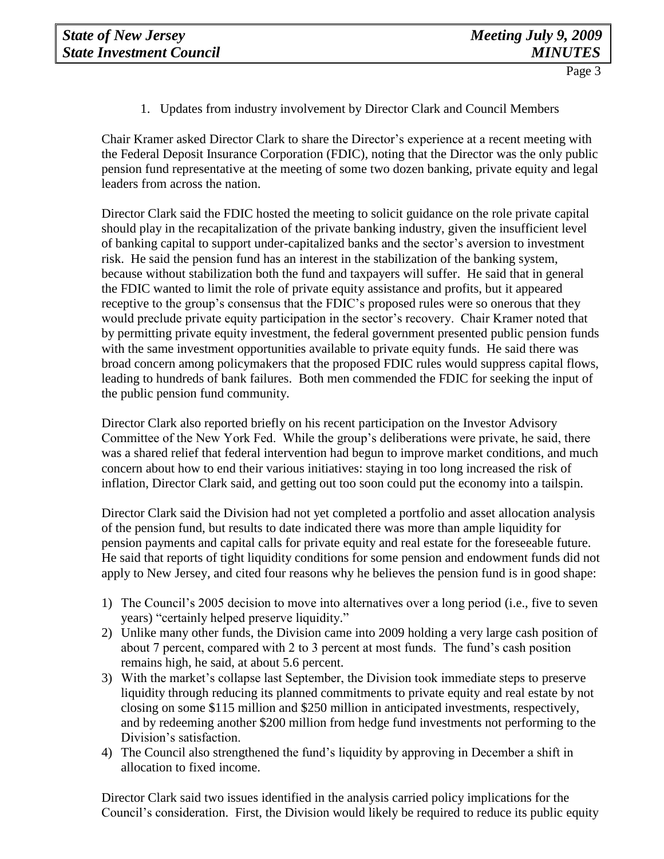1. Updates from industry involvement by Director Clark and Council Members

Chair Kramer asked Director Clark to share the Director's experience at a recent meeting with the Federal Deposit Insurance Corporation (FDIC), noting that the Director was the only public pension fund representative at the meeting of some two dozen banking, private equity and legal leaders from across the nation.

Director Clark said the FDIC hosted the meeting to solicit guidance on the role private capital should play in the recapitalization of the private banking industry, given the insufficient level of banking capital to support under-capitalized banks and the sector's aversion to investment risk. He said the pension fund has an interest in the stabilization of the banking system, because without stabilization both the fund and taxpayers will suffer. He said that in general the FDIC wanted to limit the role of private equity assistance and profits, but it appeared receptive to the group's consensus that the FDIC's proposed rules were so onerous that they would preclude private equity participation in the sector's recovery. Chair Kramer noted that by permitting private equity investment, the federal government presented public pension funds with the same investment opportunities available to private equity funds. He said there was broad concern among policymakers that the proposed FDIC rules would suppress capital flows, leading to hundreds of bank failures. Both men commended the FDIC for seeking the input of the public pension fund community.

Director Clark also reported briefly on his recent participation on the Investor Advisory Committee of the New York Fed. While the group's deliberations were private, he said, there was a shared relief that federal intervention had begun to improve market conditions, and much concern about how to end their various initiatives: staying in too long increased the risk of inflation, Director Clark said, and getting out too soon could put the economy into a tailspin.

Director Clark said the Division had not yet completed a portfolio and asset allocation analysis of the pension fund, but results to date indicated there was more than ample liquidity for pension payments and capital calls for private equity and real estate for the foreseeable future. He said that reports of tight liquidity conditions for some pension and endowment funds did not apply to New Jersey, and cited four reasons why he believes the pension fund is in good shape:

- 1) The Council's 2005 decision to move into alternatives over a long period (i.e., five to seven years) "certainly helped preserve liquidity."
- 2) Unlike many other funds, the Division came into 2009 holding a very large cash position of about 7 percent, compared with 2 to 3 percent at most funds. The fund's cash position remains high, he said, at about 5.6 percent.
- 3) With the market's collapse last September, the Division took immediate steps to preserve liquidity through reducing its planned commitments to private equity and real estate by not closing on some \$115 million and \$250 million in anticipated investments, respectively, and by redeeming another \$200 million from hedge fund investments not performing to the Division's satisfaction.
- 4) The Council also strengthened the fund's liquidity by approving in December a shift in allocation to fixed income.

Director Clark said two issues identified in the analysis carried policy implications for the Council's consideration. First, the Division would likely be required to reduce its public equity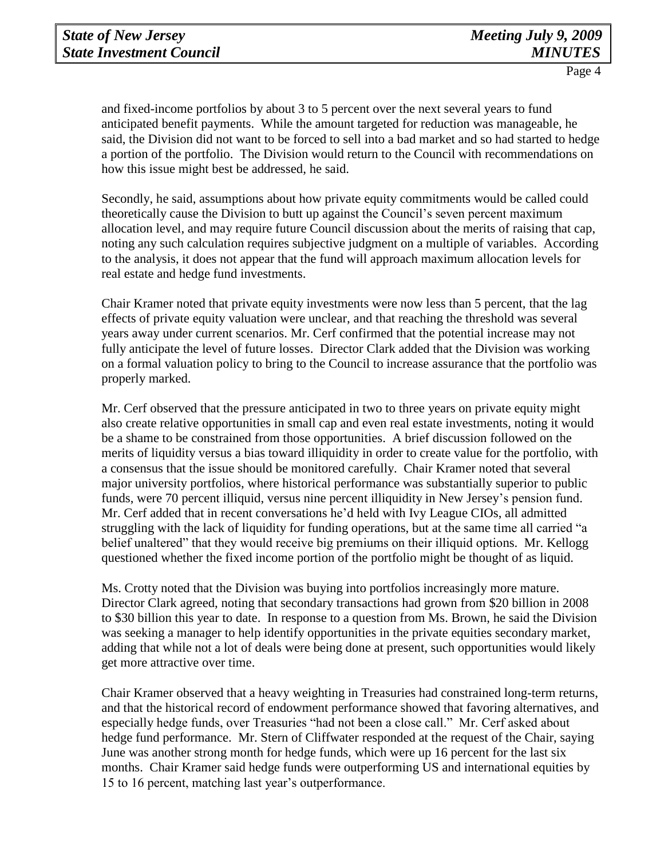and fixed-income portfolios by about 3 to 5 percent over the next several years to fund anticipated benefit payments. While the amount targeted for reduction was manageable, he said, the Division did not want to be forced to sell into a bad market and so had started to hedge a portion of the portfolio. The Division would return to the Council with recommendations on how this issue might best be addressed, he said.

Secondly, he said, assumptions about how private equity commitments would be called could theoretically cause the Division to butt up against the Council's seven percent maximum allocation level, and may require future Council discussion about the merits of raising that cap, noting any such calculation requires subjective judgment on a multiple of variables. According to the analysis, it does not appear that the fund will approach maximum allocation levels for real estate and hedge fund investments.

Chair Kramer noted that private equity investments were now less than 5 percent, that the lag effects of private equity valuation were unclear, and that reaching the threshold was several years away under current scenarios. Mr. Cerf confirmed that the potential increase may not fully anticipate the level of future losses. Director Clark added that the Division was working on a formal valuation policy to bring to the Council to increase assurance that the portfolio was properly marked.

Mr. Cerf observed that the pressure anticipated in two to three years on private equity might also create relative opportunities in small cap and even real estate investments, noting it would be a shame to be constrained from those opportunities. A brief discussion followed on the merits of liquidity versus a bias toward illiquidity in order to create value for the portfolio, with a consensus that the issue should be monitored carefully. Chair Kramer noted that several major university portfolios, where historical performance was substantially superior to public funds, were 70 percent illiquid, versus nine percent illiquidity in New Jersey's pension fund. Mr. Cerf added that in recent conversations he'd held with Ivy League CIOs, all admitted struggling with the lack of liquidity for funding operations, but at the same time all carried "a belief unaltered" that they would receive big premiums on their illiquid options. Mr. Kellogg questioned whether the fixed income portion of the portfolio might be thought of as liquid.

Ms. Crotty noted that the Division was buying into portfolios increasingly more mature. Director Clark agreed, noting that secondary transactions had grown from \$20 billion in 2008 to \$30 billion this year to date. In response to a question from Ms. Brown, he said the Division was seeking a manager to help identify opportunities in the private equities secondary market, adding that while not a lot of deals were being done at present, such opportunities would likely get more attractive over time.

Chair Kramer observed that a heavy weighting in Treasuries had constrained long-term returns, and that the historical record of endowment performance showed that favoring alternatives, and especially hedge funds, over Treasuries "had not been a close call." Mr. Cerf asked about hedge fund performance. Mr. Stern of Cliffwater responded at the request of the Chair, saying June was another strong month for hedge funds, which were up 16 percent for the last six months. Chair Kramer said hedge funds were outperforming US and international equities by 15 to 16 percent, matching last year's outperformance.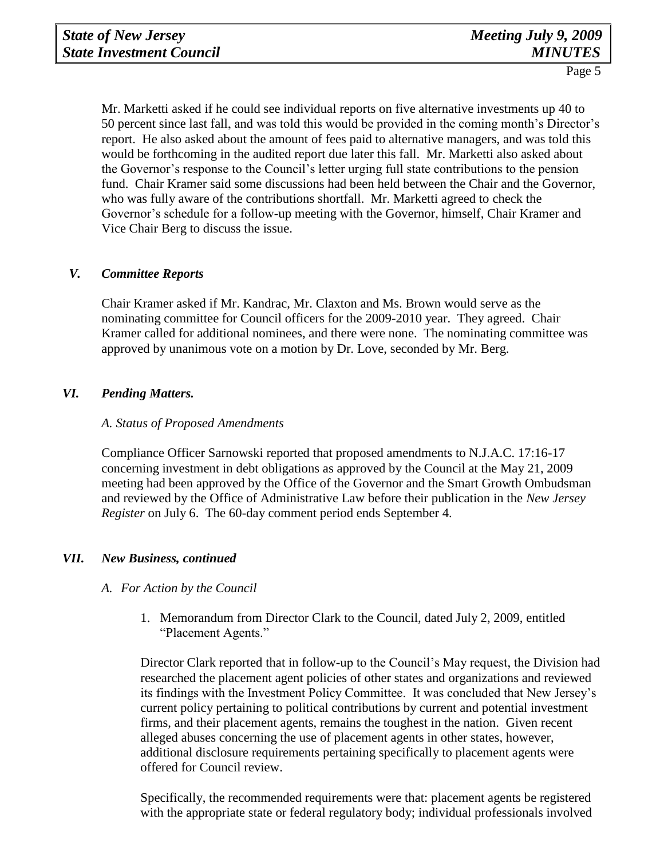Mr. Marketti asked if he could see individual reports on five alternative investments up 40 to 50 percent since last fall, and was told this would be provided in the coming month's Director's report. He also asked about the amount of fees paid to alternative managers, and was told this would be forthcoming in the audited report due later this fall. Mr. Marketti also asked about the Governor's response to the Council's letter urging full state contributions to the pension fund. Chair Kramer said some discussions had been held between the Chair and the Governor, who was fully aware of the contributions shortfall. Mr. Marketti agreed to check the Governor's schedule for a follow-up meeting with the Governor, himself, Chair Kramer and Vice Chair Berg to discuss the issue.

## *V. Committee Reports*

Chair Kramer asked if Mr. Kandrac, Mr. Claxton and Ms. Brown would serve as the nominating committee for Council officers for the 2009-2010 year. They agreed. Chair Kramer called for additional nominees, and there were none. The nominating committee was approved by unanimous vote on a motion by Dr. Love, seconded by Mr. Berg.

## *VI. Pending Matters.*

#### *A. Status of Proposed Amendments*

Compliance Officer Sarnowski reported that proposed amendments to N.J.A.C. 17:16-17 concerning investment in debt obligations as approved by the Council at the May 21, 2009 meeting had been approved by the Office of the Governor and the Smart Growth Ombudsman and reviewed by the Office of Administrative Law before their publication in the *New Jersey Register* on July 6. The 60-day comment period ends September 4.

## *VII. New Business, continued*

#### *A. For Action by the Council*

1. Memorandum from Director Clark to the Council, dated July 2, 2009, entitled "Placement Agents."

Director Clark reported that in follow-up to the Council's May request, the Division had researched the placement agent policies of other states and organizations and reviewed its findings with the Investment Policy Committee. It was concluded that New Jersey's current policy pertaining to political contributions by current and potential investment firms, and their placement agents, remains the toughest in the nation. Given recent alleged abuses concerning the use of placement agents in other states, however, additional disclosure requirements pertaining specifically to placement agents were offered for Council review.

Specifically, the recommended requirements were that: placement agents be registered with the appropriate state or federal regulatory body; individual professionals involved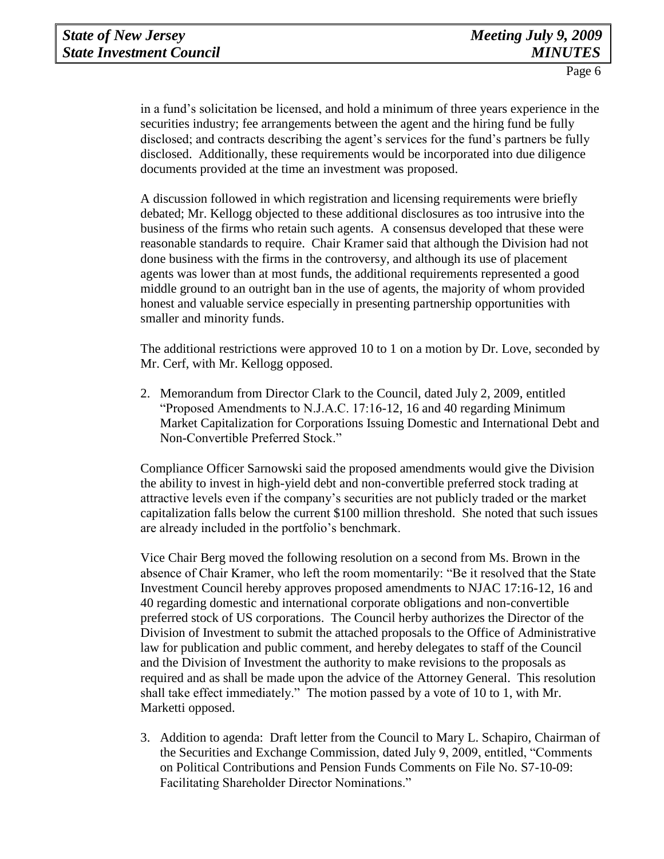in a fund's solicitation be licensed, and hold a minimum of three years experience in the securities industry; fee arrangements between the agent and the hiring fund be fully disclosed; and contracts describing the agent's services for the fund's partners be fully disclosed. Additionally, these requirements would be incorporated into due diligence documents provided at the time an investment was proposed.

A discussion followed in which registration and licensing requirements were briefly debated; Mr. Kellogg objected to these additional disclosures as too intrusive into the business of the firms who retain such agents. A consensus developed that these were reasonable standards to require. Chair Kramer said that although the Division had not done business with the firms in the controversy, and although its use of placement agents was lower than at most funds, the additional requirements represented a good middle ground to an outright ban in the use of agents, the majority of whom provided honest and valuable service especially in presenting partnership opportunities with smaller and minority funds.

The additional restrictions were approved 10 to 1 on a motion by Dr. Love, seconded by Mr. Cerf, with Mr. Kellogg opposed.

2. Memorandum from Director Clark to the Council, dated July 2, 2009, entitled "Proposed Amendments to N.J.A.C. 17:16-12, 16 and 40 regarding Minimum Market Capitalization for Corporations Issuing Domestic and International Debt and Non-Convertible Preferred Stock."

Compliance Officer Sarnowski said the proposed amendments would give the Division the ability to invest in high-yield debt and non-convertible preferred stock trading at attractive levels even if the company's securities are not publicly traded or the market capitalization falls below the current \$100 million threshold. She noted that such issues are already included in the portfolio's benchmark.

Vice Chair Berg moved the following resolution on a second from Ms. Brown in the absence of Chair Kramer, who left the room momentarily: "Be it resolved that the State Investment Council hereby approves proposed amendments to NJAC 17:16-12, 16 and 40 regarding domestic and international corporate obligations and non-convertible preferred stock of US corporations. The Council herby authorizes the Director of the Division of Investment to submit the attached proposals to the Office of Administrative law for publication and public comment, and hereby delegates to staff of the Council and the Division of Investment the authority to make revisions to the proposals as required and as shall be made upon the advice of the Attorney General. This resolution shall take effect immediately." The motion passed by a vote of 10 to 1, with Mr. Marketti opposed.

3. Addition to agenda: Draft letter from the Council to Mary L. Schapiro, Chairman of the Securities and Exchange Commission, dated July 9, 2009, entitled, "Comments on Political Contributions and Pension Funds Comments on File No. S7-10-09: Facilitating Shareholder Director Nominations."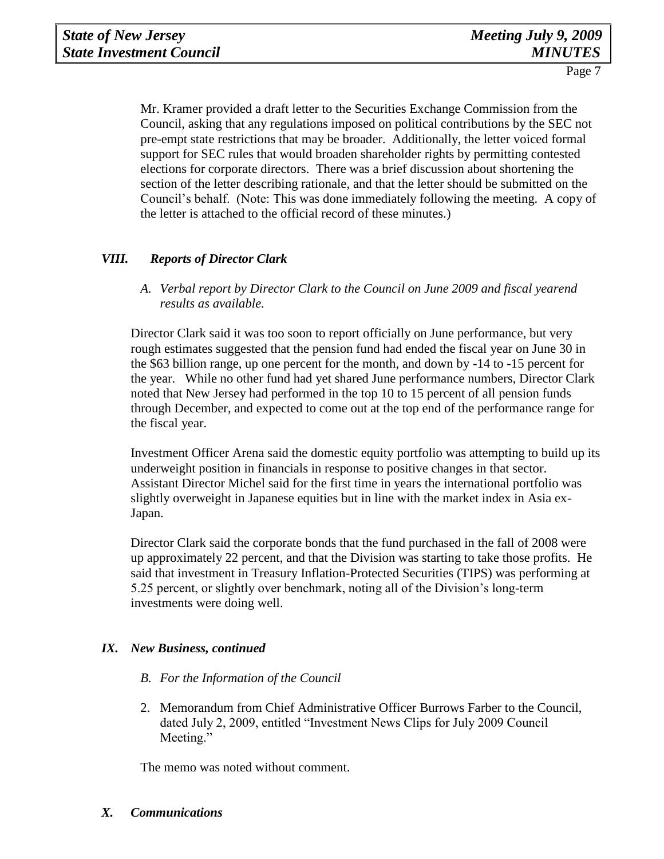Mr. Kramer provided a draft letter to the Securities Exchange Commission from the Council, asking that any regulations imposed on political contributions by the SEC not pre-empt state restrictions that may be broader. Additionally, the letter voiced formal support for SEC rules that would broaden shareholder rights by permitting contested elections for corporate directors. There was a brief discussion about shortening the section of the letter describing rationale, and that the letter should be submitted on the Council's behalf. (Note: This was done immediately following the meeting. A copy of the letter is attached to the official record of these minutes.)

## *VIII. Reports of Director Clark*

*A. Verbal report by Director Clark to the Council on June 2009 and fiscal yearend results as available.*

Director Clark said it was too soon to report officially on June performance, but very rough estimates suggested that the pension fund had ended the fiscal year on June 30 in the \$63 billion range, up one percent for the month, and down by -14 to -15 percent for the year. While no other fund had yet shared June performance numbers, Director Clark noted that New Jersey had performed in the top 10 to 15 percent of all pension funds through December, and expected to come out at the top end of the performance range for the fiscal year.

Investment Officer Arena said the domestic equity portfolio was attempting to build up its underweight position in financials in response to positive changes in that sector. Assistant Director Michel said for the first time in years the international portfolio was slightly overweight in Japanese equities but in line with the market index in Asia ex-Japan.

Director Clark said the corporate bonds that the fund purchased in the fall of 2008 were up approximately 22 percent, and that the Division was starting to take those profits. He said that investment in Treasury Inflation-Protected Securities (TIPS) was performing at 5.25 percent, or slightly over benchmark, noting all of the Division's long-term investments were doing well.

## *IX. New Business, continued*

- *B. For the Information of the Council*
- 2. Memorandum from Chief Administrative Officer Burrows Farber to the Council, dated July 2, 2009, entitled "Investment News Clips for July 2009 Council Meeting."

The memo was noted without comment.

*X. Communications*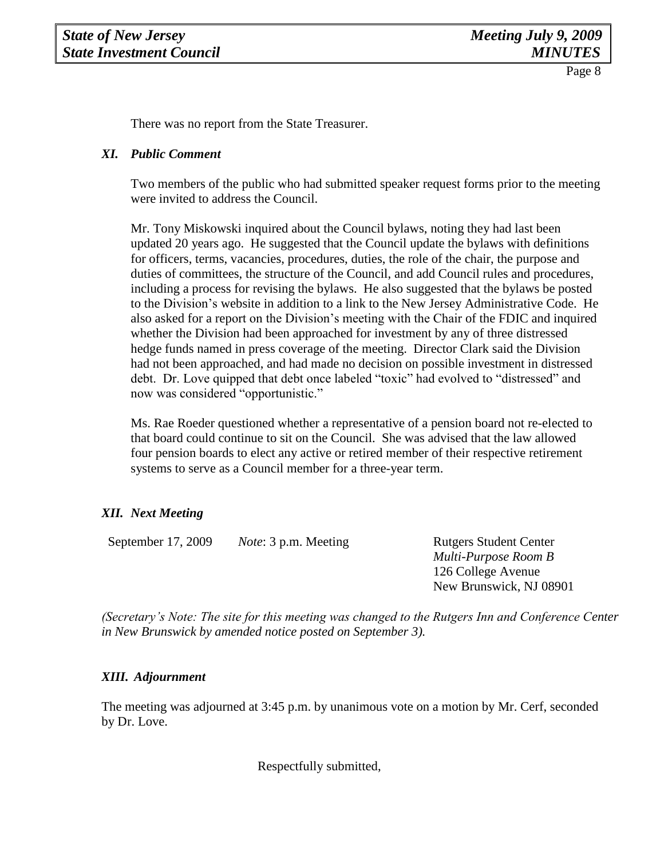There was no report from the State Treasurer.

#### *XI. Public Comment*

Two members of the public who had submitted speaker request forms prior to the meeting were invited to address the Council.

Mr. Tony Miskowski inquired about the Council bylaws, noting they had last been updated 20 years ago. He suggested that the Council update the bylaws with definitions for officers, terms, vacancies, procedures, duties, the role of the chair, the purpose and duties of committees, the structure of the Council, and add Council rules and procedures, including a process for revising the bylaws. He also suggested that the bylaws be posted to the Division's website in addition to a link to the New Jersey Administrative Code. He also asked for a report on the Division's meeting with the Chair of the FDIC and inquired whether the Division had been approached for investment by any of three distressed hedge funds named in press coverage of the meeting. Director Clark said the Division had not been approached, and had made no decision on possible investment in distressed debt. Dr. Love quipped that debt once labeled "toxic" had evolved to "distressed" and now was considered "opportunistic."

Ms. Rae Roeder questioned whether a representative of a pension board not re-elected to that board could continue to sit on the Council. She was advised that the law allowed four pension boards to elect any active or retired member of their respective retirement systems to serve as a Council member for a three-year term.

## *XII. Next Meeting*

September 17, 2009 *Note*: 3 p.m. Meeting Rutgers Student Center

*Multi-Purpose Room B* 126 College Avenue New Brunswick, NJ 08901

*(Secretary's Note: The site for this meeting was changed to the Rutgers Inn and Conference Center in New Brunswick by amended notice posted on September 3).*

## *XIII. Adjournment*

The meeting was adjourned at 3:45 p.m. by unanimous vote on a motion by Mr. Cerf, seconded by Dr. Love.

Respectfully submitted,